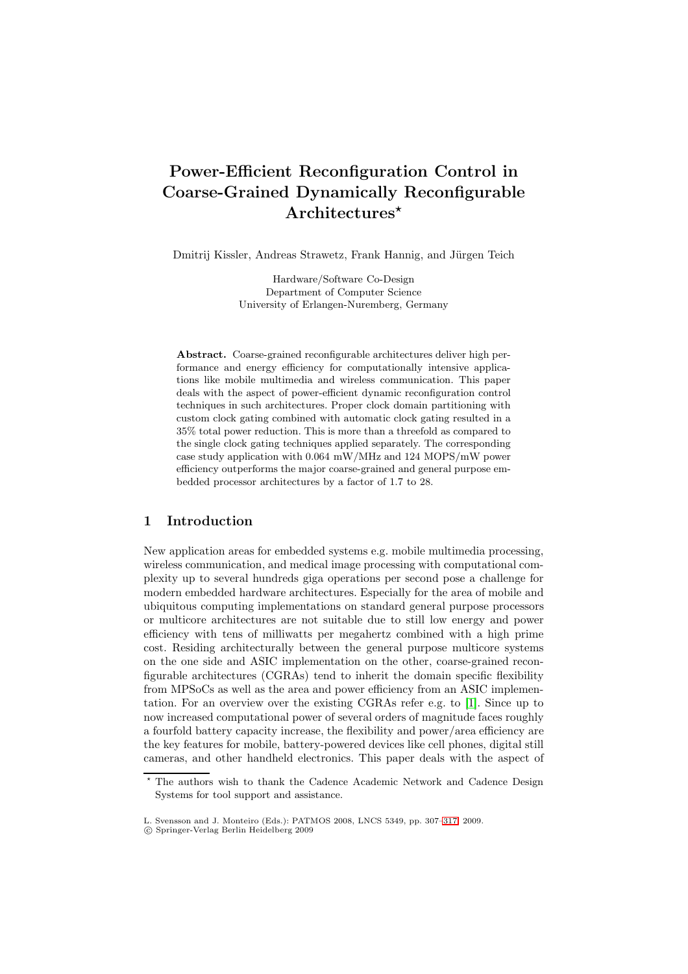# **Power-Efficient Reconfiguration Control in Coarse-Grained Dynamically Reconfigurable Architectures***-*

Dmitrij Kissler, Andreas Strawetz, Frank Hannig, and Jürgen Teich

Hardware/Software Co-Design Department of Computer Science University of Erlangen-Nuremberg, Germany

**Abstract.** Coarse-grained reconfigurable architectures deliver high performance and energy efficiency for computationally intensive applications like mobile multimedia and wireless communication. This paper deals with the aspect of power-efficient dynamic reconfiguration control techniques in such architectures. Proper clock domain partitioning with custom clock gating combined with automatic clock gating resulted in a 35% total power reduction. This is more than a threefold as compared to the single clock gating techniques applied separately. The corresponding case study application with 0.064 mW/MHz and 124 MOPS/mW power efficiency outperforms the major coarse-grained and general purpose embedded processor architectures by a factor of 1.7 to 28.

## **1 Introduction**

New application areas for embedded systems e.g. mobile multimedia processing, wireless communication, and medical image processing with computational complexity up to several hundreds giga operations per second pose a challenge for modern embedded hardware architectures. Especially for the area of mobile and ubiquitous computing implementations on standard general purpose processors or multicore architectures are not suitable due to still low energy and power efficiency with tens of milliwatts per megahertz combined with a high prime cost. Residing architecturally between the general purpose multicore systems on the one side and ASIC implementation on the other, coarse-grained reconfigurable architectures (CGRAs) tend to inherit the domain specific flexibility from MPSoCs as well as the area and power efficiency from an ASIC implementation. For an overview over the existing CGRAs refer e.g. to [1]. Since up to now increased computational power of several orders of magnitude faces roughly a fourfold battery capacity increase, the flexibility and power/area efficiency are the key features for mobile, battery-powered devices like cell phones, digital still cameras, and other handheld electronics. This paper deals wit[h](#page-9-0) the aspect of

<sup>\*</sup> The authors wish to thank the Cadence Academic Network and Cadence Design Systems for tool support and assistance.

L. Svensson and J. Monteiro (Eds.): PATMOS 2008, LNCS 5349, pp. 307–317, 2009.

<sup>-</sup>c Springer-Verlag Berlin Heidelberg 2009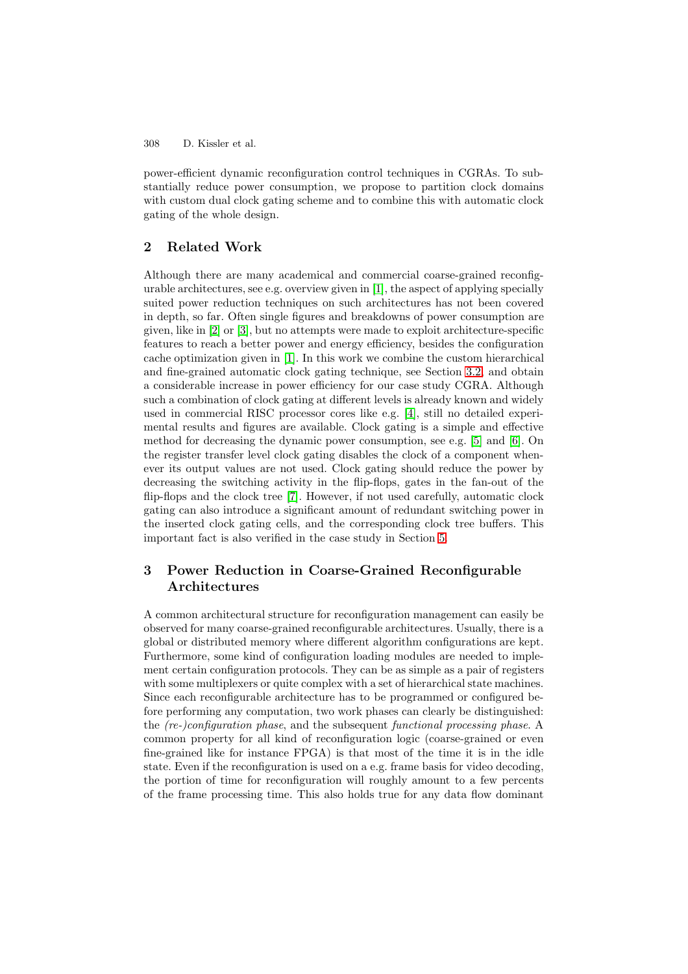power-efficient dynamic reconfiguration control techniques in CGRAs. To substantially reduce power consumption, we propose to partition clock domains with custom dual clock gating scheme and to combine this with automatic clock gating of the whole design.

# **2 Related Work**

Although there are many academical and commercial coarse-grained reconfigurable architectures, see e.g. overview given in [1], the aspect of applying specially suited power reduction techniques on such architectures has not been covered in depth, so far. Often single figures and breakdowns of power consumption are given, like in [2] or [3], but no attempts were made to exploit architecture-specific features to reach a better power and energy e[ffic](#page-9-0)iency, besides the configuration cache optimization given in [1]. In this work we combine the custom hierarchical and fine-grained automatic clock gating technique, see Section 3.2, and obtain a considerabl[e](#page-9-1) incr[ea](#page-9-2)se in power efficiency for our case study CGRA. Although such a combination of clock gating at different levels is already known and widely used in commercial RISC p[ro](#page-9-0)cessor cores like e.g. [4], still no detailed experimental results and figures are available. Clock gating is a sim[ple a](#page-2-0)nd effective method for decreasing the dynamic power consumption, see e.g. [5] and [6]. On the register transfer level clock gating disables the clock of a component whenever its output values are not used. Clock gating [sho](#page-9-3)uld reduce the power by decreasing the switching activity in the flip-flops, gates in the fan-out of the flip-flops and the clock tree [7]. However, if not used carefully, a[uto](#page-10-0)mati[c c](#page-10-1)lock gating can also introduce a significant amount of redundant switching power in the inserted clock gating cells, and the corresponding clock tree buffers. This important fact is also verified in the case study in Section 5.

# **3 Power Reduction in Coarse-Grained Reconfigurable Architectures**

A common architectural structure for reconfiguration management can easily be observed for many coarse-grained reconfigurable architectures. Usually, there is a global or distributed memory where different algorithm configurations are kept. Furthermore, some kind of configuration loading modules are needed to implement certain configuration protocols. They can be as simple as a pair of registers with some multiplexers or quite complex with a set of hierarchical state machines. Since each reconfigurable architecture has to be programmed or configured before performing any computation, two work phases can clearly be distinguished: the (re-)configuration phase, and the subsequent functional processing phase. A common property for all kind of reconfiguration logic (coarse-grained or even fine-grained like for instance FPGA) is that most of the time it is in the idle state. Even if the reconfiguration is used on a e.g. frame basis for video decoding, the portion of time for reconfiguration will roughly amount to a few percents of the frame processing time. This also holds true for any data flow dominant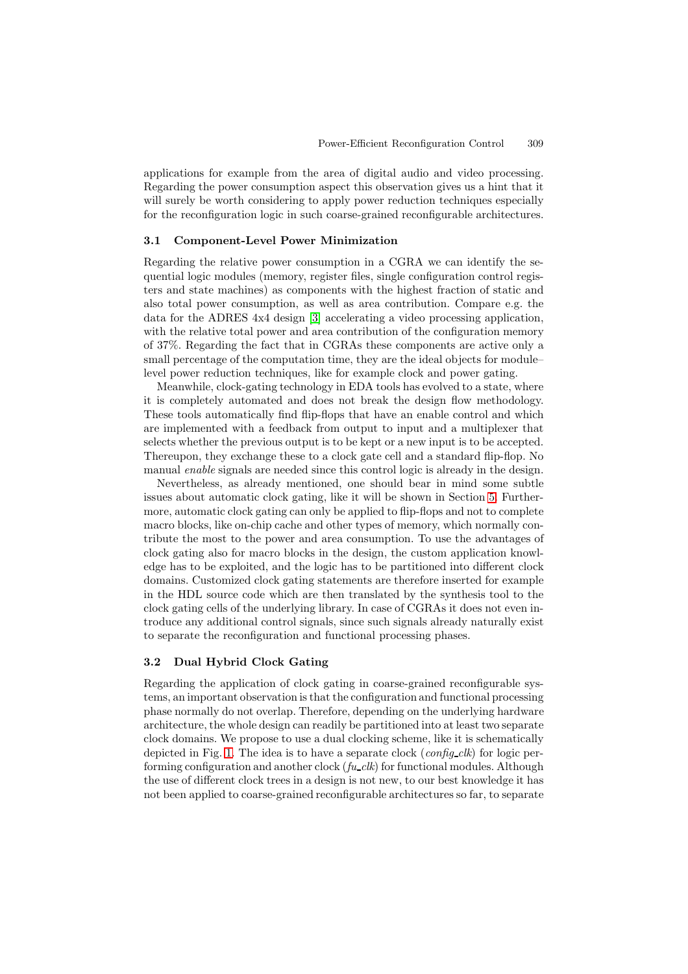applications for example from the area of digital audio and video processing. Regarding the power consumption aspect this observation gives us a hint that it will surely be worth considering to apply power reduction techniques especially for the reconfiguration logic in such coarse-grained reconfigurable architectures.

#### **3.1 Component-Level Power Minimization**

Regarding the relative power consumption in a CGRA we can identify the sequential logic modules (memory, register files, single configuration control registers and state machines) as components with the highest fraction of static and also total power consumption, as well as area contribution. Compare e.g. the data for the ADRES 4x4 design [3] accelerating a video processing application, with the relative total power and area contribution of the configuration memory of 37%. Regarding the fact that in CGRAs these components are active only a small percentage of the computation time, they are the ideal objects for module– level power reduction techniques, [li](#page-9-2)ke for example clock and power gating.

Meanwhile, clock-gating technology in EDA tools has evolved to a state, where it is completely automated and does not break the design flow methodology. These tools automatically find flip-flops that have an enable control and which are implemented with a feedback from output to input and a multiplexer that selects whether the previous output is to be kept or a new input is to be accepted. Thereupon, they exchange these to a clock gate cell and a standard flip-flop. No manual enable signals are needed since this control logic is already in the design.

Nevertheless, as already mentioned, one should bear in mind some subtle issues about automatic clock gating, like it will be shown in Section 5. Furthermore, automatic clock gating can only be applied to flip-flops and not to complete macro blocks, like on-chip cache and other types of memory, which normally contribute the most to the power and area consumption. To use the advantages of clock gating also for macro blocks in the design, the custom applica[tio](#page-6-0)n knowledge has to be exploited, and the logic has to be partitioned into different clock domains. Customized clock gating statements are therefore inserted for example in the HDL source code which are then translated by the synthesis tool to the clock gating cells of the underlying library. In case of CGRAs it does not even introduce any additional control signals, since such signals already naturally exist to separate the reconfiguration and functional processing phases.

#### **3.2 Dual Hybrid Clock Gating**

<span id="page-2-0"></span>Regarding the application of clock gating in coarse-grained reconfigurable systems, an important observation is that the configurationand functional processing phase normally do not overlap. Therefore, depending on the underlying hardware architecture, the whole design can readily be partitioned into at least two separate clock domains. We propose to use a dual clocking scheme, like it is schematically depicted in Fig. 1. The idea is to have a separate clock  $(\text{config.}clk)$  for logic performing configuration and another clock ( $f_u \llcorner c \llbracket k$ ) for functional modules. Although the use of different clock trees in a design is not new, to our best knowledge it has not been applied to coarse-grained reconfigurable architectures so far, to separate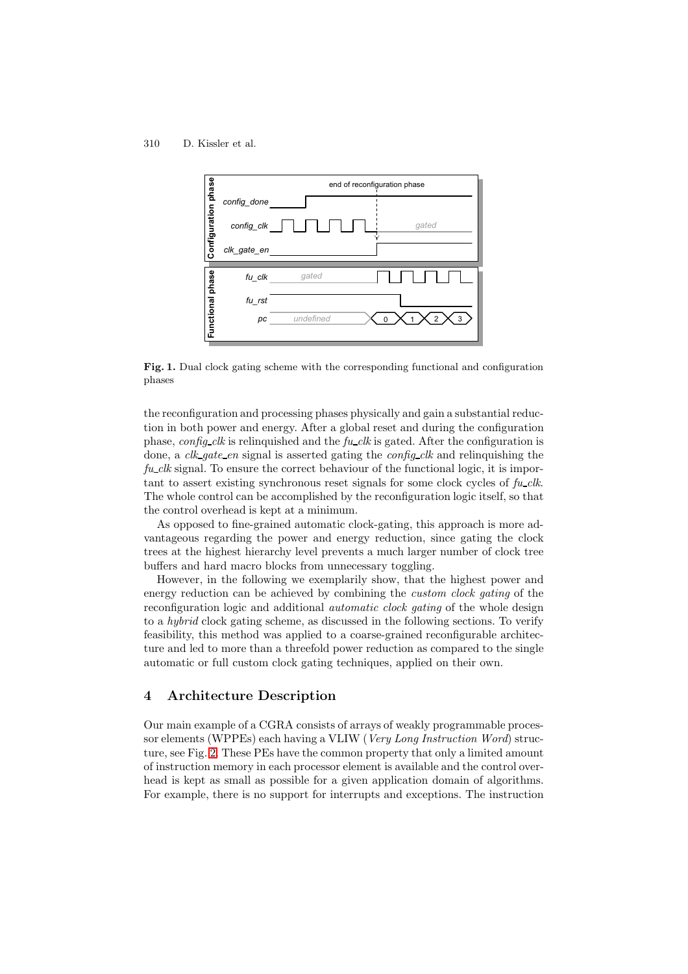

**Fig. 1.** Dual clock gating scheme with the corresponding functional and configuration phases

the reconfiguration and processing phases physically and gain a substantial reduction in both power and energy. After a global reset and during the configuration phase, config clk is relinquished and the fu clk is gated. After the configuration is done, a *clk gate en* signal is asserted gating the *config clk* and relinquishing the  $fu$ -clk signal. To ensure the correct behaviour of the functional logic, it is important to assert existing synchronous reset signals for some clock cycles of  $fu$ -clk. The whole control can be accomplished by the reconfiguration logic itself, so that the control overhead is kept at a minimum.

As opposed to fine-grained automatic clock-gating, this approach is more advantageous regarding the power and energy reduction, since gating the clock trees at the highest hierarchy level prevents a much larger number of clock tree buffers and hard macro blocks from unnecessary toggling.

However, in the following we exemplarily show, that the highest power and energy reduction can be achieved by combining the custom clock gating of the reconfiguration logic and additional *automatic clock gating* of the whole design to a hybrid clock gating scheme, as discussed in the following sections. To verify feasibility, this method was applied to a coarse-grained reconfigurable architecture and led to more than a threefold power reduction as compared to the single automatic or full custom clock gating techniques, applied on their own.

## **4 Architecture Description**

Our main example of a CGRA consists of arrays of weakly programmable processor elements (WPPEs) each having a VLIW (Very Long Instruction Word) structure, see Fig. 2. These PEs have the common property that only a limited amount of instruction memory in each processor element is available and the control overhead is kept as small as possible for a given application domain of algorithms. For example, there is no support for interrupts and exceptions. The instruction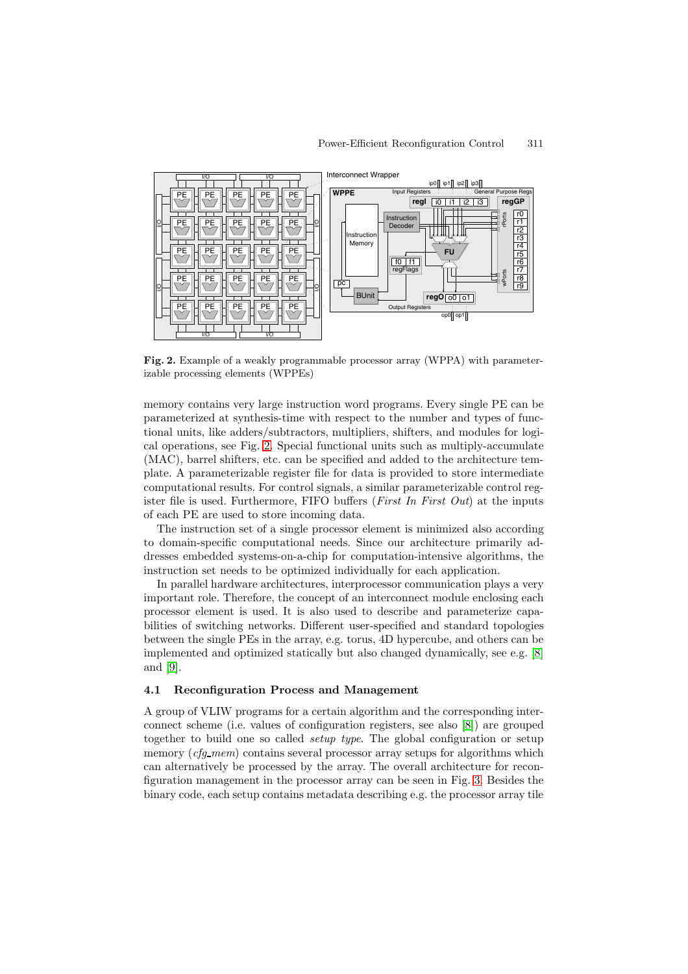

**Fig. 2.** Example of a weakly programmable processor array (WPPA) with parameterizable processing elements (WPPEs)

<span id="page-4-0"></span>memory contains very large instruction word programs. Every single PE can be parameterized at synthesis-time with respect to the number and types of functional units, like adders/subtractors, multipliers, shifters, and modules for logical operations, see Fig. 2. Special functional units such as multiply-accumulate (MAC), barrel shifters, etc. can be specified and added to the architecture template. A parameterizable register file for data is provided to store intermediate computational results. For control signals, a similar parameterizable control register file is used. Furth[erm](#page-4-0)ore, FIFO buffers (*First In First Out*) at the inputs of each PE are used to store incoming data.

The instruction set of a single processor element is minimized also according to domain-specific computational needs. Since our architecture primarily addresses embedded systems-on-a-chip for computation-intensive algorithms, the instruction set needs to be optimized individually for each application.

In parallel hardware architectures, interprocessor communication plays a very important role. Therefore, the concept of an interconnect module enclosing each processor element is used. It is also used to describe and parameterize capabilities of switching networks. Different user-specified and standard topologies between the single PEs in the array, e.g. torus, 4D hypercube, and others can be implemented and optimized statically but also changed dynamically, see e.g. [8] and [9].

#### **4.1 Reconfiguration Process and Management**

A group of VLIW programs for a certain algorithm and the corresponding int[er](#page-10-2)conn[ec](#page-10-3)t scheme (i.e. values of configuration registers, see also [8]) are grouped together to build one so called *setup type*. The global configuration or setup memory  $(cfa_{\text{mem}})$  contains several processor array setups for algorithms which can alternatively be processed by the array. The overall architecture for reconfiguration management in the processor array can be seen in Fi[g.](#page-10-2) 3. Besides the binary code, each setup contains metadata describing e.g. the processor array tile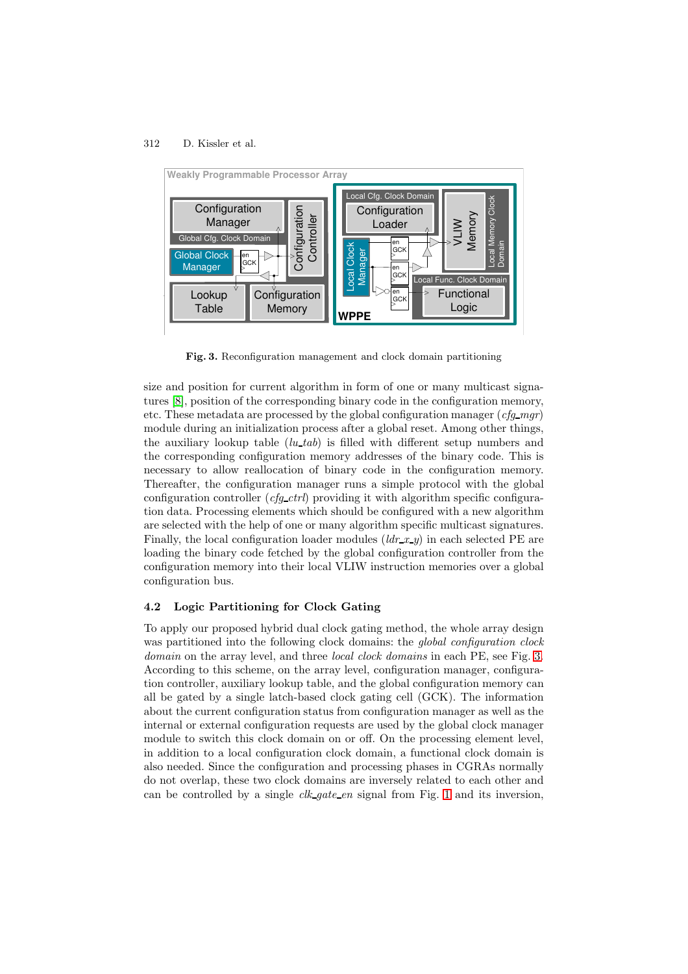

**Fig. 3.** Reconfiguration management and clock domain partitioning

<span id="page-5-0"></span>size and position for current algorithm in form of one or many multicast signatures [8], position of the corresponding binary code in the configuration memory, etc. These metadata are processed by the global configuration manager  $(cfg_mgr)$ module during an initialization process after a global reset. Among other things, the auxiliary lookup table  $(lu\_tab)$  is filled with different setup numbers and the c[orr](#page-10-2)esponding configuration memory addresses of the binary code. This is necessary to allow reallocation of binary code in the configuration memory. Thereafter, the configuration manager runs a simple protocol with the global configuration controller  $(cfg_c trl)$  providing it with algorithm specific configuration data. Processing elements which should be configured with a new algorithm are selected with the help of one or many algorithm specific multicast signatures. Finally, the local configuration loader modules  $(ldr_x, y)$  in each selected PE are loading the binary code fetched by the global configuration controller from the configuration memory into their local VLIW instruction memories over a global configuration bus.

#### **4.2 Logic Partitioning for Clock Gating**

To apply our proposed hybrid dual clock gating method, the whole array design was partitioned into the following clock domains: the *global configuration clock* domain on the array level, and three *local clock domains* in each PE, see Fig. 3. According to this scheme, on the array level, configuration manager, configuration controller, auxiliary lookup table, and the global configuration memory can all be gated by a single latch-based clock gating cell (GCK). The information about the current configuration status from configuration manager as well as t[he](#page-5-0) internal or external configuration requests are used by the global clock manager module to switch this clock domain on or off. On the processing element level, in addition to a local configuration clock domain, a functional clock domain is also needed. Since the configuration and processing phases in CGRAs normally do not overlap, these two clock domains are inversely related to each other and can be controlled by a single  $clk\_gate\_en$  signal from Fig. 1 and its inversion,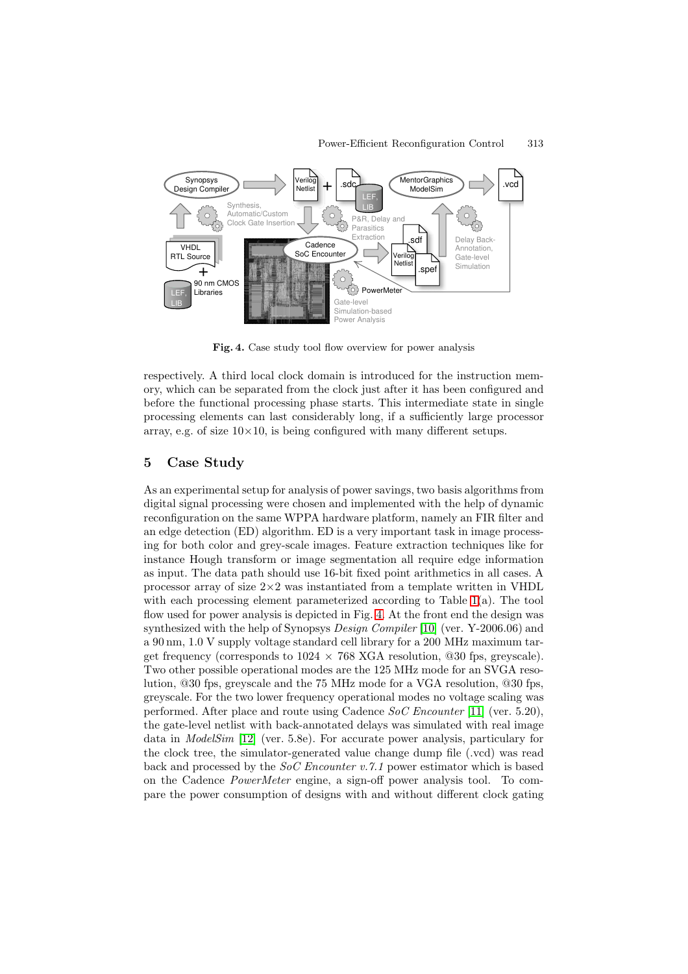

**Fig. 4.** Case study tool flow overview for power analysis

<span id="page-6-1"></span>respectively. A third local clock domain is introduced for the instruction memory, which can be separated from the clock just after it has been configured and before the functional processing phase starts. This intermediate state in single processing elements can last considerably long, if a sufficiently large processor array, e.g. of size  $10\times10$ , is being configured with many different setups.

## **5 Case Study**

<span id="page-6-0"></span>As an experimental setup for analysis of power savings, two basis algorithms from digital signal processing were chosen and implemented with the help of dynamic reconfiguration on the same WPPA hardware platform, namely an FIR filter and an edge detection (ED) algorithm. ED is a very important task in image processing for both color and grey-scale images. Feature extraction techniques like for instance Hough transform or image segmentation all require edge information as input. The data path should use 16-bit fixed point arithmetics in all cases. A processor array of size  $2\times 2$  was instantiated from a template written in VHDL with each processing element parameterized according to Table 1(a). The tool flow used for power analysis is depicted in Fig. 4. At the front end the design was synthesized with the help of Synopsys *Design Compiler* [10] (ver. Y-2006.06) and a 90 nm, 1.0 V supply voltage standard cell library for a 200 MHz maximum target frequency (corresponds to  $1024 \times 768$  XGA resolution, @30 [fp](#page-7-0)s, greyscale). Two other possible operational modes are the [12](#page-6-1)5 MHz mode for an SVGA resolution, @30 fps, greyscale and the 75 MHz mode for a [VGA](#page-10-4) resolution, @30 fps, greyscale. For the two lower frequency operational modes no voltage scaling was performed. After place and route using Cadence  $SoC$  Encounter [11] (ver. 5.20), the gate-level netlist with back-annotated delays was simulated with real image data in *ModelSim* [12] (ver. 5.8e). For accurate power analysis, particulary for the clock tree, the simulator-generated value change dump file (.vcd) was read back and processed by the  $SoC$  Encounter v.7.1 power estimator [wh](#page-10-5)ich is based on the Cadence PowerMeter engine, a sign-off power analysis tool. To compare the power co[nsum](#page-10-6)ption of designs with and without different clock gating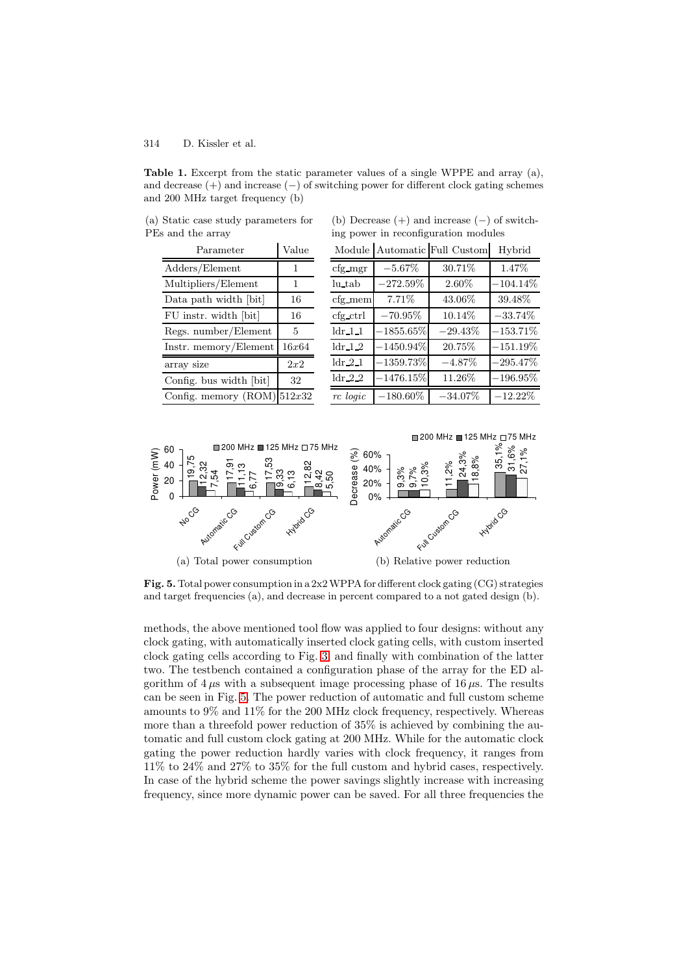**Table 1.** Excerpt from the static parameter values of a single WPPE and array (a), and decrease (+) and increase (−) of switching power for different clock gating schemes and 200 MHz target frequency (b)

<span id="page-7-0"></span>(a) Static case study parameters for PEs and the array

|  |  |                                      |  | (b) Decrease $(+)$ and increase $(-)$ of switch- |
|--|--|--------------------------------------|--|--------------------------------------------------|
|  |  | ing power in reconfiguration modules |  |                                                  |

| Parameter                        | Value |
|----------------------------------|-------|
| Adders/Element                   | 1     |
| Multipliers/Element              | 1     |
| Data path width [bit]            | 16    |
| FU instr. width [bit]            | 16    |
| Regs. number/Element             | 5     |
| Instr. memory/Element            | 16x64 |
| array size                       | 2x2   |
| Config. bus width [bit]          | 32    |
| Config. memory $(ROM)$ 512 $x32$ |       |

| Module              |              | Automatic Full Custom | Hybrid      |
|---------------------|--------------|-----------------------|-------------|
| $cfg$ mgr           | $-5.67\%$    | 30.71%                | 1.47%       |
| lu_tab              | $-272.59\%$  | $2.60\%$              | $-104.14\%$ |
| $cfg$ mem           | 7.71%        | 43.06%                | 39.48%      |
| $\frac{c}{g}$ ctrl  | $-70.95\%$   | 10.14%                | $-33.74%$   |
| ldr 1.1             | $-1855.65\%$ | $-29.43\%$            | $-153.71\%$ |
| ldr_1_2             | $-1450.94\%$ | 20.75%                | $-151.19\%$ |
| $\mathrm{ldr}\,2.1$ | $-1359.73\%$ | $-4.87\%$             | $-295.47\%$ |
| $\mathrm{ldr}\,2.2$ | $-1476.15\%$ | 11.26%                | $-196.95\%$ |
| rc logic            | $-180.60\%$  | $-34.07\%$            | $-12.22%$   |



**Fig. 5.** Total power consumption in a 2x2WPPA for different clock gating (CG) strategies and target frequencies (a), and decrease in percent compared to a not gated design (b).

<span id="page-7-1"></span>methods, the above mentioned tool flow was applied to four designs: without any clock gating, with automatically inserted clock gating cells, with custom inserted clock gating cells according to Fig. 3, and finally with combination of the latter two. The testbench contained a configuration phase of the array for the ED algorithm of  $4 \mu s$  with a subsequent image processing phase of  $16 \mu s$ . The results can be seen in Fig. 5. The power reduction of automatic and full custom scheme amounts to 9% and 11% for the 20[0 M](#page-5-0)Hz clock frequency, respectively. Whereas more than a threefold power reduction of 35% is achieved by combining the automatic and full custom clock gating at 200 MHz. While for the automatic clock gating the power [red](#page-7-1)uction hardly varies with clock frequency, it ranges from 11% to 24% and 27% to 35% for the full custom and hybrid cases, respectively. In case of the hybrid scheme the power savings slightly increase with increasing frequency, since more dynamic power can be saved. For all three frequencies the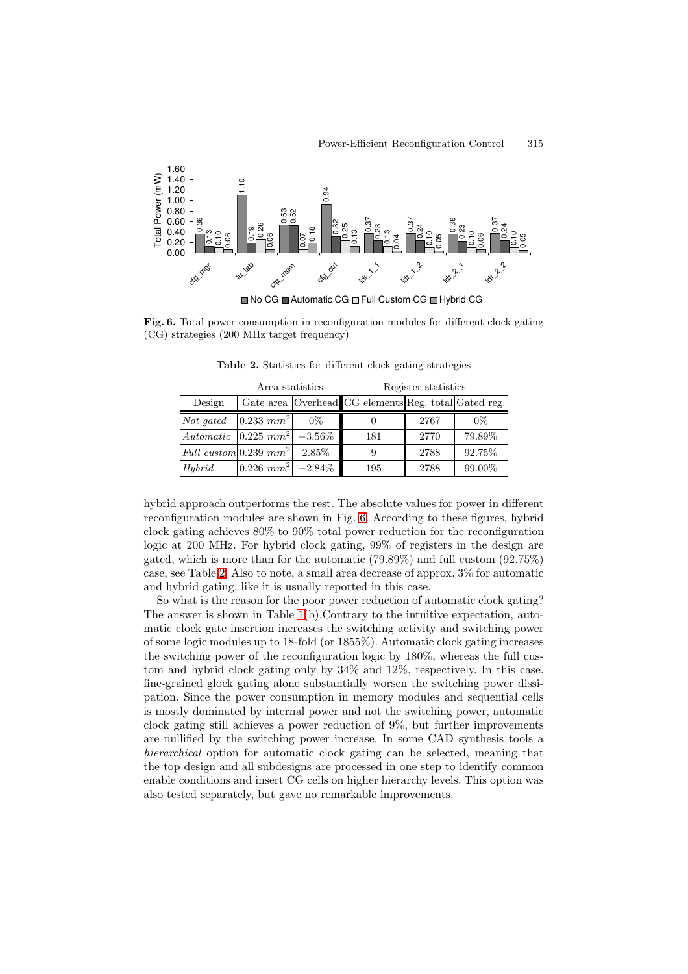

■ No CG ■ Automatic CG ■ Full Custom CG ■ Hybrid CG

**Fig. 6.** Total power consumption in reconfiguration modules for different clock gating (CG) strategies (200 MHz target frequency)

<span id="page-8-1"></span><span id="page-8-0"></span>

|                                     | Area statistics         |           | Register statistics                                  |      |        |  |
|-------------------------------------|-------------------------|-----------|------------------------------------------------------|------|--------|--|
| Design                              |                         |           | Gate area Overhead CG elements Reg. total Gated reg. |      |        |  |
| Not gated                           | $0.233$ mm <sup>2</sup> | $0\%$     |                                                      | 2767 | $0\%$  |  |
| Automatic $ 0.225 \, mm^2  -3.56\%$ |                         |           | 181                                                  | 2770 | 79.89% |  |
| Full custom 0.239 $mm2$             |                         | 2.85%     | 9                                                    | 2788 | 92.75% |  |
| Hybrid                              | $0.226 \;mm^2$          | $-2.84\%$ | 195                                                  | 2788 | 99.00% |  |

**Table 2.** Statistics for different clock gating strategies

hybrid approach outperforms the rest. The absolute values for power in different reconfiguration modules are shown in Fig. 6. According to these figures, hybrid clock gating achieves 80% to 90% total power reduction for the reconfiguration logic at 200 MHz. For hybrid clock gating, 99% of registers in the design are gated, which is more than for the automatic (79.89%) and full custom (92.75%) case, see Table 2. Also to note, a small area [de](#page-8-0)crease of approx. 3% for automatic and hybrid gating, like it is usually reported in this case.

So what is the reason for the poor power reduction of automatic clock gating? The answer is shown in Table 1(b).Contrary to the intuitive expectation, automatic clock ga[te](#page-8-1) insertion increases the switching activity and switching power of some logic modules up to 18-fold (or 1855%). Automatic clock gating increases the switching power of the reconfiguration logic by 180%, whereas the full custom and hybrid clock gating [on](#page-7-0)ly by 34% and 12%, respectively. In this case, fine-grained glock gating alone substantially worsen the switching power dissipation. Since the power consumption in memory modules and sequential cells is mostly dominated by internal power and not the switching power, automatic clock gating still achieves a power reduction of 9%, but further improvements are nullified by the switching power increase. In some CAD synthesis tools a hierarchical option for automatic clock gating can be selected, meaning that the top design and all subdesigns are processed in one step to identify common enable conditions and insert CG cells on higher hierarchy levels. This option was also tested separately, but gave no remarkable improvements.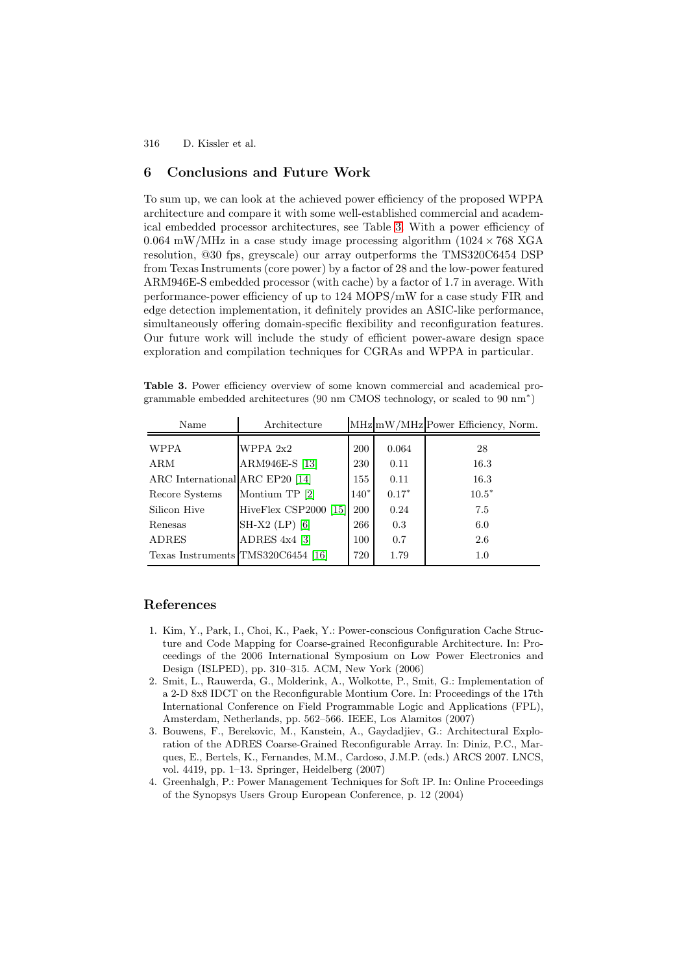# **6 Conclusions and Future Work**

To sum up, we can look at the achieved power efficiency of the proposed WPPA architecture and compare it with some well-established commercial and academical embedded processor architectures, see Table 3. With a power efficiency of  $0.064$  mW/MHz in a case study image processing algorithm  $(1024 \times 768 \text{ XGA})$ resolution, @30 fps, greyscale) our array outperforms the TMS320C6454 DSP from Texas Instruments (core power) by a factor of 28 and the low-power featured ARM946E-S embedded processor (with cache) by [a f](#page-9-4)actor of 1.7 in average. With performance-power efficiency of up to 124 MOPS/mW for a case study FIR and edge detection implementation, it definitely provides an ASIC-like performance, simultaneously offering domain-specific flexibility and reconfiguration features. Our future work will include the study of efficient power-aware design space exploration and compilation techniques for CGRAs and WPPA in particular.

**Table 3.** Power efficiency overview of some known commercial and academical programmable embedded architectures (90 nm CMOS technology, or scaled to 90 nm<sup>∗</sup>)

<span id="page-9-4"></span>

| Name                            | Architecture                       |            |         | MHz mW/MHz Power Efficiency, Norm. |
|---------------------------------|------------------------------------|------------|---------|------------------------------------|
| <b>WPPA</b>                     | WPPA 2x2                           | <b>200</b> | 0.064   | 28                                 |
| ARM                             | ARM946E-S [13]                     | 230        | 0.11    | 16.3                               |
| ARC International ARC EP20 [14] |                                    | 155        | 0.11    | 16.3                               |
| Recore Systems                  | Montium TP [2]                     | $140*$     | $0.17*$ | $10.5*$                            |
| Silicon Hive                    | HiveFlex CSP2000 [15]              | 200        | 0.24    | 7.5                                |
| Renesas                         | SH-X2 $(LP)$ [6]                   | 266        | 0.3     | 6.0                                |
| <b>ADRES</b>                    | ADRES 4x4 [3]                      | 100        | 0.7     | 2.6                                |
|                                 | Texas Instruments TMS320C6454 [16] | 720        | 1.79    | 1.0                                |

#### **References**

- 1. Kim, Y., Park, I., Choi, K., Paek, Y.: Power-conscious Configuration Cache Structure and Code Mapping for Coarse-grained Reconfigurable Architecture. In: Proceedings of the 2006 International Symposium on Low Power Electronics and Design (ISLPED), pp. 310–315. ACM, New York (2006)
- <span id="page-9-0"></span>2. Smit, L., Rauwerda, G., Molderink, A., Wolkotte, P., Smit, G.: Implementation of a 2-D 8x8 IDCT on the Reconfigurable Montium Core. In: Proceedings of the 17th International Conference on Field Programmable Logic and Applications (FPL), Amsterdam, Netherlands, pp. 562–566. IEEE, Los Alamitos (2007)
- <span id="page-9-1"></span>3. Bouwens, F., Berekovic, M., Kanstein, A., Gaydadjiev, G.: Architectural Exploration of the ADRES Coarse-Grained Reconfigurable Array. In: Diniz, P.C., Marques, E., Bertels, K., Fernandes, M.M., Cardoso, J.M.P. (eds.) ARCS 2007. LNCS, vol. 4419, pp. 1–13. Springer, Heidelberg (2007)
- <span id="page-9-3"></span><span id="page-9-2"></span>4. Greenhalgh, P.: Power Management Techniques for Soft IP. In: Online Proceedings of the Synopsys Users Group European Conference, p. 12 (2004)